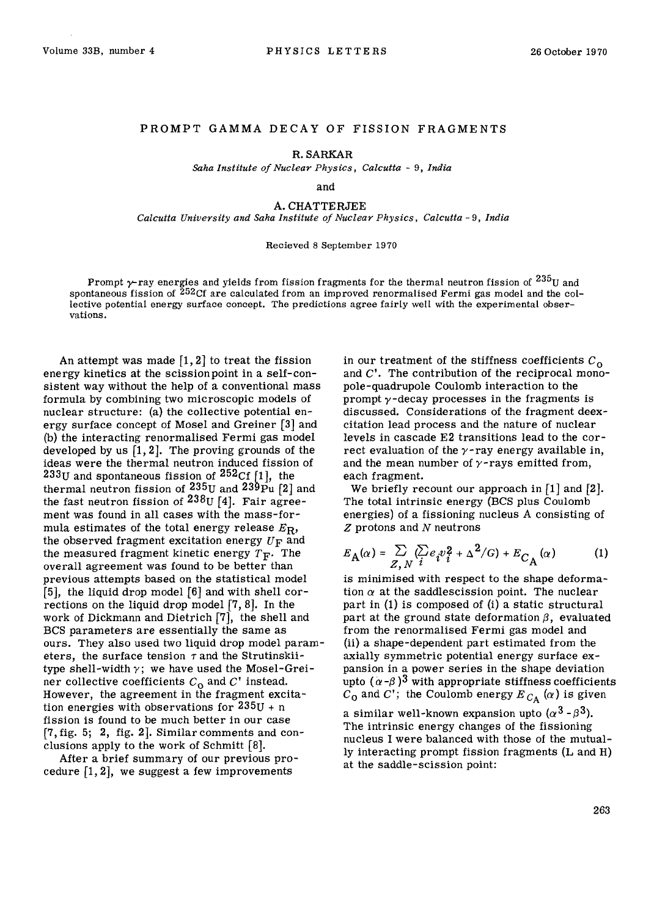## PROMPT GAMMA DECAY OF FISSION FRAGMENTS

R. SARKAR

*Saha Institute of Nuclear Physics, Calcutta -* 9, *India* 

and

A. CHATTERJEE *Calcutta University and Saha Institute of Nuclear Physics, Calcutta -* 9, *India* 

## Recieved 8 September 1970

Prompt  $\gamma$ -ray energies and yields from fission fragments for the thermal neutron fission of  $^{235}$ U and spontaneous fission of  $252<sup>o</sup>$  are calculated from an improved renormalised Fermi gas model and the collective potential energy surface concept. The predictions agree fairly well with the experimental observations.

An attempt was made  $\lceil 1, 2 \rceil$  to treat the fission energy kinetics at the scissionpoint in a self-consistent way without the help of a conventional mass formula by combining two microscopic models of nuclear structure: (a) the collective potential energy surface concept of Mosel and Greiner [3] and (b) the interacting renormalised Fermi gas model developed by us  $\lceil 1, 2 \rceil$ . The proving grounds of the ideas were the thermal neutron induced fission of  $233$ U and spontaneous fission of  $252$ Cf [1], the thermal neutron fission of 235U and 239Pu [2] and the fast neutron fission of  $^{238}$ U [4]. Fair agreement was found in all cases with the mass-formula estimates of the total energy release *ER,*  the observed fragment excitation energy  $U_F$  and the measured fragment kinetic energy  $T_F$ . The overall agreement was found to be better than previous attempts based on the statistical model [5], the liquid drop model [6] and with shell corrections on the liquid drop model [7, 8]. In the work of Dickmann and Dietrich [7], the shell and BCS parameters are essentially the same as ours. They also used two liquid drop model parameters, the surface tension  $\tau$  and the Strutinskiitype shell-width  $\gamma$ ; we have used the Mosel-Greiner collective coefficients  $C_0$  and  $C'$  instead. However, the agreement in the fragment excitation energies with observations for  $235U + n$ fission is found to be much better in our case [7,fig. 5; 2, fig. 2]. Similar comments and conclusions apply to the work of Schmitt [8].

After a brief summary of our previous procedure  $[1, 2]$ , we suggest a few improvements

in our treatment of the stiffness coefficients  $C_0$ and C'. The contribution of the reciprocal monopole-quadrupole Coulomb interaction to the prompt  $\gamma$ -decay processes in the fragments is discussed. Considerations of the fragment deexcitation lead process and the nature of nuclear levels in cascade E2 transitions lead to the correct evaluation of the  $\gamma$ -ray energy available in, and the mean number of  $\gamma$ -rays emitted from, each fragment.

We briefly recount our approach in  $[1]$  and  $[2]$ . The total intrinsic energy (BCS plus Coulomb energies) of a fissioning nucleus A consisting of  $Z$  protons and  $N$  neutrons

$$
E_{\mathbf{A}}(\alpha) = \sum_{Z,N} \langle \sum_{i} e_i v_i^2 + \Delta^2/G \rangle + E_{C_{\mathbf{A}}}(\alpha) \tag{1}
$$

is minimised with respect to the shape deformation  $\alpha$  at the saddlescission point. The nuclear part in (1) is composed of (i) a static structural part at the ground state deformation  $\beta$ , evaluated from the renormalised Fermi gas model and (ii) a shape-dependent part estimated from the axially symmetric potential energy surface expansion in a power series in the shape deviation upto  $(\alpha-\beta)^3$  with appropriate stiffness coefficients  $C_0$  and C'; the Coulomb energy  $E_{C_A}(\alpha)$  is given

a similar well-known expansion upto  $(\alpha^3$  -  $\beta^3)$ . The intrinsic energy changes of the fissioning nucleus I were balanced with those of the mutually interacting prompt fission fragments (L and H) at the saddle-scission point: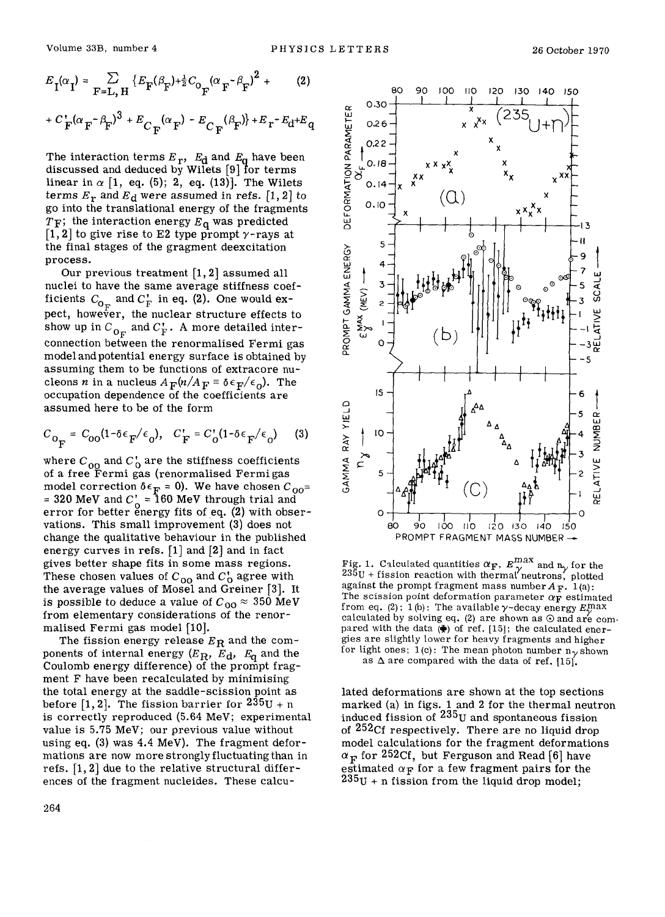$$
E_{\mathbf{I}}(\alpha_{\mathbf{I}}) = \sum_{\mathbf{F} = \mathbf{L}, \mathbf{H}} \left\{ E_{\mathbf{F}}(\beta_{\mathbf{F}}) + \frac{1}{2} C_{\mathbf{O}_{\mathbf{F}}} (\alpha_{\mathbf{F}} - \beta_{\mathbf{F}})^2 + (2) + C_{\mathbf{F}} (\alpha_{\mathbf{F}} - \beta_{\mathbf{F}})^3 + E_{C_{\mathbf{F}}} (\alpha_{\mathbf{F}}) - E_{C_{\mathbf{F}}} (\beta_{\mathbf{F}}) \right\} + E_{\mathbf{r}} - E_{\mathbf{d}} + E_{\mathbf{q}}
$$

The interaction terms  $E_r$ ,  $E_d$  and  $E_d$  have been discussed and deduced by Wilets [9] for terms linear in  $\alpha$  [1, eq. (5); 2, eq. (13)]. The Wilets terms  $E_r$  and  $E_d$  were assumed in refs. [1, 2] to go into the translational energy of the fragments  $T_F$ ; the interaction energy  $E_q$  was predicted  $[1, 2]$  to give rise to E2 type prompt  $\gamma$ -rays at the final stages of the gragment deexcitation process.

Our previous treatment [1, 2] assumed all nuclei to have the same average stiffness coefficients  $C_{\text{O}_\nabla}$  and  $C_{\text{F}}^*$  in eq. (2). One would expect, however, the nuclear structure effects to show up in  $C_{\mathbf{0}_F}$  and  $C_{\mathbf{F}}^*$  . A more detailed interconnection between the renormalised Fermi gas model and potential energy surface is obtained by assuming them to be functions of extracore nucleons *n* in a nucleus  $A_F(n/A_F = \delta \epsilon_F/\epsilon_o)$ . The occupation dependence of the coefficients are assumed here to be of the form

$$
C_{\text{O}_{\overline{\mathbf{F}}}} = C_{\text{OO}} (1 - \delta \epsilon_{\overline{\mathbf{F}}}/\epsilon_0), \quad C_{\overline{\mathbf{F}}} = C_{\text{O}}' (1 - \delta \epsilon_{\overline{\mathbf{F}}}/\epsilon_0) \tag{3}
$$

where  $C_{00}$  and  $C_0$  are the stiffness coefficients of a free Fermi gas (renormalised Fermi gas model correction  $\delta \epsilon_{\mathbf{F}} = 0$ ). We have chosen  $C_{00} =$ = 320 MeV and  $C_{\alpha}$  = 160 MeV through trial and error for better energy fits of eq. (2) with observations. This small improvement (3) does not change the qualitative behaviour in the published energy curves in refs. [1] and [2] and in fact gives better shape fits in some mass regions. These chosen values of  $C_{00}$  and  $C_0'$  agree with the average values of Moset and Greiner [3]. It is possible to deduce a value of  $C_{00} \approx 350$  MeV from elementary considerations of the renormalised Fermi gas model [10].

The fission energy release  $E_R$  and the components of internal energy ( $E_R$ ,  $E_d$ ,  $E_q$  and the Coulomb energy difference) of the prompt fragment F have been recalculated by minimising the total energy at the saddle-scission point as before [1, 2]. The fission barrier for  $235U + n$ is correctly reproduced (5.64 MeV; experimental value is 5.75 MeV; our previous value without using eq. (3) was 4.4 MeV). The fragment deformations are now more strongly fluctuating than in refs. [1, 2] due to the relative structural differences of the fragment nucleides. These calcu-



Fig. 1. Calculated quantities  $\alpha_F$ ,  $E_{\gamma}^{max}$  and  $n_{\gamma}$  for the  $235U + f$  ission reaction with thermal neutrons, plotted against the prompt fragment mass number  $A_F$ . 1(a): The scission point deformation parameter  $\alpha_{\mathbf{F}}$  estimated from eq. (2); 1(b): The available  $\gamma$ -decay energy  $E_{\gamma}^{\text{max}}$ calculated by solving eq. (2) are shown as  $\odot$  and are compared with the data  $(\clubsuit)$  of ref. [15]; the calculated energies are slightly lower for heavy fragments and higher for light ones; 1(c): The mean photon number  $n_{\gamma}$  shown as  $\Delta$  are compared with the data of ref. [15].

lated deformations are shown at the top sections marked (a) in figs. 1 and 2 for the thermal neutron induced fission of  $235<sub>U</sub>$  and spontaneous fission of <sup>252</sup>Cf respectively. There are no liquid drop model calculations for the fragment deformations  $\alpha_{\rm F}$  for 252Cf, but Ferguson and Read [6] have estimated  $\alpha_F$  for a few fragment pairs for the  $235$ U + n fission from the liquid drop model;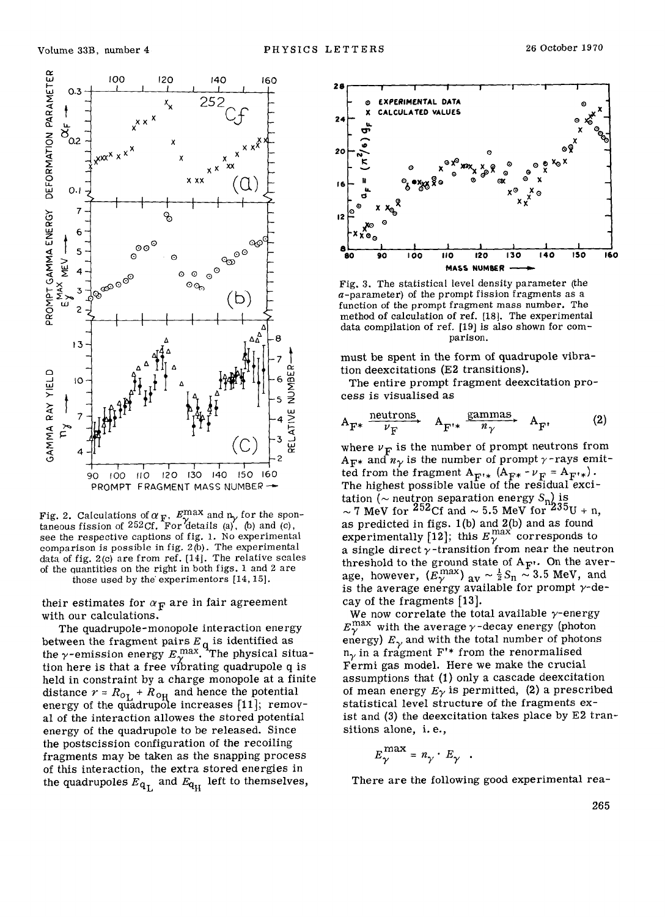

Fig. 2. Calculations of  $\alpha_F$ ,  $E_{\gamma}^{\text{max}}$  and  $n_{\gamma}$  for the spontaneous fission of 252Cf. For details (a), (b) and (c), see the respective captions of fig. 1. No experimental comparison is possible in fig.  $2(b)$ . The experimental data of fig. 2(c) are from ref. [14]. The relative scales of the quantities on the right in both figs. 1 and 2 are those used by the experimentors [14, 15].

their estimates for  $\alpha_F$  are in fair agreement with our calculations.

The quadrupole-monopole interaction energy between the fragment pairs  $E_q$  is identified as<br>the  $\gamma$ -emission energy  $E_{\gamma}^{max}$ . The physical situation here is that a free vibrating quadrupole q is held in constraint by a charge monopole at a finite distance  $r = R_{0L} + R_{0H}$  and hence the potential<br>energy of the quadrupole increases [11]; removal of the interaction allowes the stored potential energy of the quadrupole to be released. Since the postscission configuration of the recoiling fragments may be taken as the snapping process of this interaction, the extra stored energies in the quadrupoles  $E_{q_L}$  and  $E_{q_H}$  left to themselves,



Fig. 3. The statistical level density parameter (the  $a$ -parameter) of the prompt fission fragments as a function of the prompt fragment mass number. The method of calculation of ref. [18]. The experimental data compilation of ref. [19] is also shown for comparison.

must be spent in the form of quadrupole vibration deexcitations (E2 transitions).

The entire prompt fragment deexcitation process is visualised as

$$
A_{F^*} \xrightarrow{\text{neutrons}} A_{F'^*} \xrightarrow{\text{gamma}} A_{F'} \qquad (2)
$$

where  $\nu_F$  is the number of prompt neutrons from  $A_{\text{F*}}$  and  $n_{\gamma}$  is the number of prompt  $\gamma$ -rays emitted from the fragment  $A_{\mathbf{F}^{t*}}$   $(A_{\mathbf{F}^*} - \nu_{\mathbf{F}} = A_{\mathbf{F}^{t*}})$ . The highest possible value of the residual excitation ( $\sim$  neutron separation energy  $S_n$ ) is<br> $\sim$  7 MeV for <sup>252</sup>Cf and  $\sim$  5.5 MeV for <sup>235</sup>U + n, as predicted in figs. 1(b) and 2(b) and as found<br>experimentally [12]; this  $E_{\gamma}^{\text{max}}$  corresponds to a single direct  $\gamma$ -transition from near the neutron threshold to the ground state of  $A_{\mathbf{F}}$ . On the average, however,  $(E_{\gamma}^{\max})$  av  $\sim \frac{1}{2}S_n \sim 3.5$  MeV, and is the average energy available for prompt  $\gamma$ -decay of the fragments  $[13]$ .

We now correlate the total available  $\gamma$ -energy  $E_{\gamma}^{\rm max}$  with the average  $\gamma$ -decay energy (photon energy)  $E_{\gamma}$  and with the total number of photons  $n_{\gamma}$  in a fragment F'\* from the renormalised Fermi gas model. Here we make the crucial assumptions that (1) only a cascade deexcitation of mean energy  $E_{\gamma}$  is permitted, (2) a prescribed statistical level structure of the fragments exist and (3) the deexcitation takes place by E2 transitions alone, i.e.,

$$
E_{\gamma}^{\max} = n_{\gamma} \cdot E_{\gamma} .
$$

There are the following good experimental rea-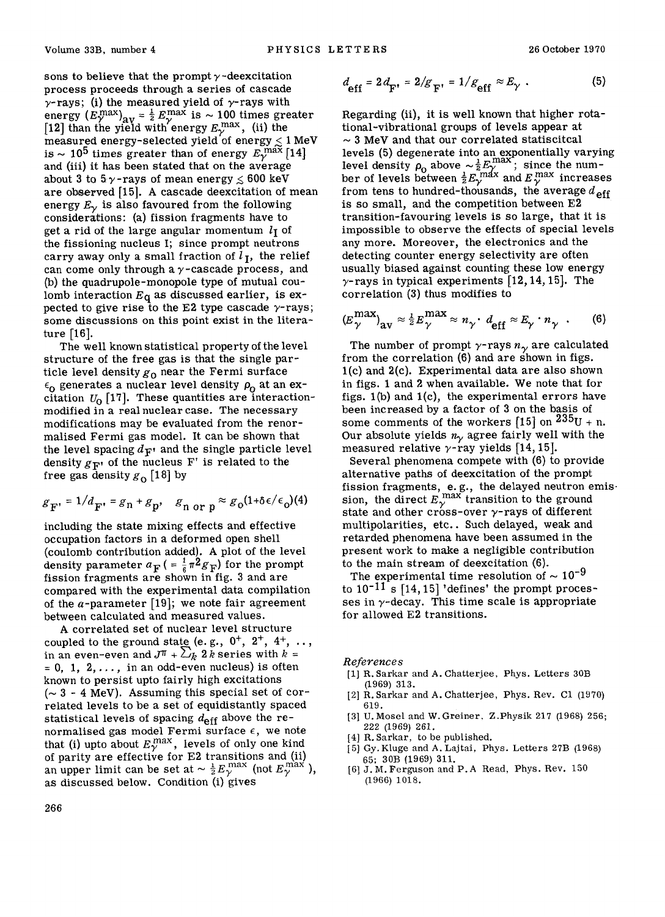sons to believe that the prompt  $\gamma$ -deexcitation process proceeds through a series of cascade  $\gamma$ -rays; (i) the measured yield of  $\gamma$ -rays with energy  $(E_{\gamma}^{\text{max}})_{\text{av}} = \frac{1}{2} E_{\gamma}^{\text{max}}$  is  $\sim 100$  times greater [12] than the yield with energy  $E_\gamma^{\, \rm max}$ , (ii) the measured energy-selected yield of energy  $\lesssim 1\,\text{MeV}$ is ~ 10<sup>5</sup> times greater than of energy  $E_{\gamma}^{\,\,\mathrm{max}}\left[14\right]$ and (iii) it has been stated that on the average about 3 to 5  $\gamma$ -rays of mean energy  $\leq 600$  keV are observed [15]. A cascade deexcitation of mean energy  $E_{\gamma}$  is also favoured from the following considerations: (a) fission fragments have to get a rid of the large angular momentum  $l<sub>I</sub>$  of the fissioning nucleus I; since prompt neutrons carry away only a small fraction of  $l<sub>J</sub>$ , the relief can come only through a  $\gamma$ -cascade process, and (b) the quadrupole-monopole type of mutual coulomb interaction  $E_q$  as discussed earlier, is expected to give rise to the E2 type cascade  $\gamma$ -rays; some discussions on this point exist in the literature [16].

The well known statistical property of the level structure of the free gas is that the single particle level density  $g_0$  near the Fermi surface  $\epsilon_0$  generates a nuclear level density  $\rho_0$  at an excitation  $U_0$  [17]. These quantities are interactionmodified in a real nuclear case. The necessary modifications may be evaluated from the renormalised Fermi gas model. It can be shown that the level spacing  $d_{\mathbf{F}}$  and the single particle level density  $g_{\mathbf{F}'}$  of the nucleus F' is related to the free gas density  $g_0$  [18] by

$$
g_{\mathbf{F}'} = 1/d_{\mathbf{F}'} = g_{\mathbf{n}} + g_{\mathbf{p'} -} g_{\mathbf{n} \text{ or } \mathbf{p}} \approx g_0 (1 + \delta \epsilon / \epsilon_0) (4)
$$

including the state mixing effects and effective occupation factors in a deformed open shell (coulomb contribution added). A plot of the level density parameter  $a_F$  ( =  $\frac{1}{6}\pi^2 g_F$ ) for the prompt fission fragments are shown in fig. 3 and are compared with the experimental data compilation of the  $\alpha$ -parameter [19]; we note fair agreement between calculated and measured values.

A correlated set of nuclear level structure coupled to the ground state (e.g.,  $0^+$ ,  $2^+$ ,  $4^+$ , .., in an even-even and  $J^{\pi} + \sum_{k} 2 k$  series with  $k =$  $= 0, 1, 2, \ldots$ , in an odd-even nucleus) is often known to persist upto fairly high excitations  $~(\sim 3$  - 4 MeV). Assuming this special set of correlated levels to be a set of equidistantly spaced statistical levels of spacing  $d_{\text{eff}}$  above the renormalised gas model Fermi surface  $\epsilon$ , we note that (i) upto about  $E_{\gamma}^{max}$ , levels of only one kind of parity are effective for E2 transitions and (if) an upper limit can be set at  $\sim \frac{1}{2} E_{\gamma}^{\text{max}}$  (not  $E_{\gamma}^{\text{max}}$ ), as discussed below. Condition (i) gives

$$
d_{\text{eff}} = 2 d_{\text{F'}} = 2/g_{\text{F'}} = 1/g_{\text{eff}} \approx E_{\gamma} . \tag{5}
$$

Regarding (ii), it is well known that higher rotational-vibrational groups of levels appear at  $\sim$  3 MeV and that our correlated statiscitcal levels (5) degenerate into an exponentially varying level density  $\rho_0$  above  $\sim \frac{1}{2} E_{\gamma}^{\rm max}$ ; since the number of levels between  $\frac{1}{2}E_{\gamma}^{\text{max}}$  and  $E_{\gamma}^{\text{max}}$  increases from tens to hundred-thousands, the average  $d_{\text{eff}}$ is so small, and the competition between E2 transition-favouring levels is so large, that it is impossible to observe the effects of special levels any more. Moreover, the electronics and the detecting counter energy selectivity are often usually biased against counting these low energy  $\gamma$ -rays in typical experiments [12, 14, 15]. The correlation (3) thus modifies to

$$
(E_{\gamma}^{\max})_{\text{av}} \approx \frac{1}{2} E_{\gamma}^{\max} \approx n_{\gamma} \cdot d_{\text{eff}} \approx E_{\gamma} \cdot n_{\gamma} \quad . \tag{6}
$$

The number of prompt  $\gamma$ -rays  $n_{\gamma}$  are calculated from the correlation (6) and are shown in figs.  $1(c)$  and  $2(c)$ . Experimental data are also shown in figs. 1 and 2 when available. We note that for figs.  $1(b)$  and  $1(c)$ , the experimental errors have been increased by a factor of 3 on the basis of some comments of the workers  $[15]$  on  $235<sub>U</sub> + n$ . Our absolute yields  $n<sub>y</sub>$  agree fairly well with the measured relative  $\gamma$ -ray yields [14, 15].

Several phenomena compete with (6) to provide alternative paths of deexeitation of the prompt fission fragments, e.g., the delayed neutron emis $\cdot$ sion, the direct  $E_{\gamma}^{\text{max}}$  transition to the ground state and other cross-over  $\gamma$ -rays of different multipolarities, etc.. Such delayed, weak and retarded phenomena have been assumed in the present work to make a negligible contribution to the main stream of deexcitation (6).

The experimental time resolution of  $\sim 10^{-9}$ to  $10^{-11}$  s [14, 15] 'defines' the prompt processes in  $\gamma$ -decay. This time scale is appropriate for allowed E2 transitions.

*Reference s* 

- [1] R. Sarkar and A. Chatterjee, Phys. Letters 30B (1969) 313.
- [2] R. Sarkar and A. Chatterjee, Phys. Rev. C1 (1970) 619.
- [3] U. Mosel and W. Greiner. Z.Physik 217 (1968) 256; 222 (1969) 261.
- [4] R. Sarkar, to be published.
- [5] Gy. Kiuge and A. Lajtai, Phys. Letters 27B (1968) 65; 30B (1969) 311.
- [6] J.M. Ferguson and P.A Read, Phys. Rev. 150 (1966) 1018.